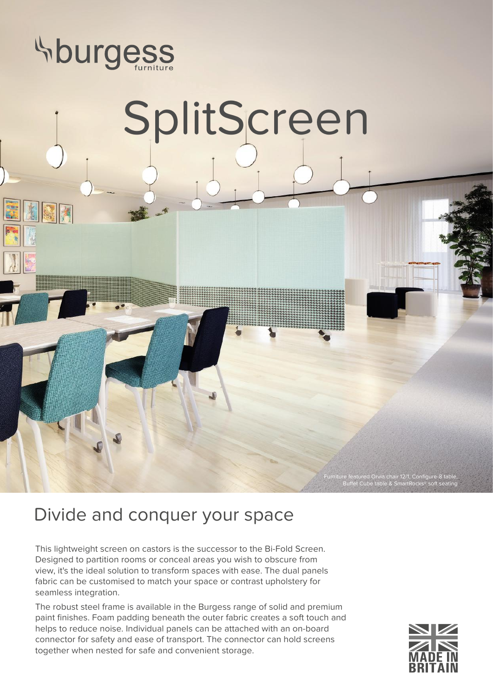

## SplitScreen

## Divide and conquer your space

This lightweight screen on castors is the successor to the Bi-Fold Screen. Designed to partition rooms or conceal areas you wish to obscure from view, it's the ideal solution to transform spaces with ease. The dual panels fabric can be customised to match your space or contrast upholstery for seamless integration.

The robust steel frame is available in the Burgess range of solid and premium paint finishes. Foam padding beneath the outer fabric creates a soft touch and helps to reduce noise. Individual panels can be attached with an on-board connector for safety and ease of transport. The connector can hold screens together when nested for safe and convenient storage.



Furniture featured Orvia chair 12/1, Configure-8 table, Buffet Cube table & SmartRocks® soft seating